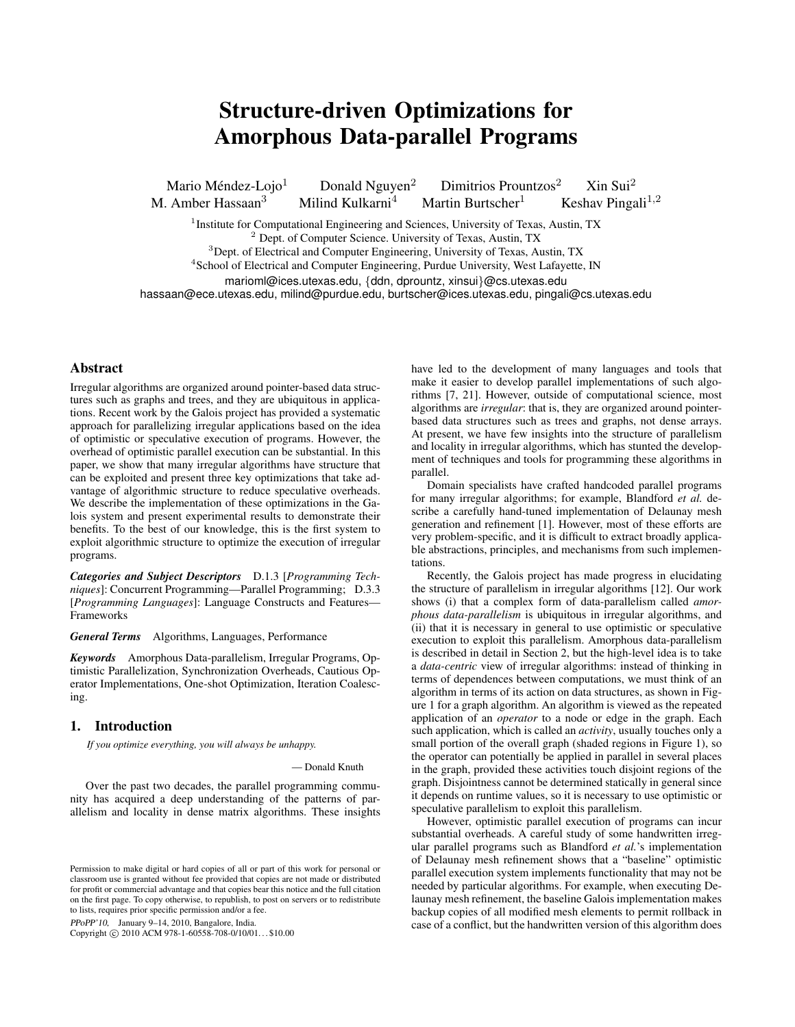# Structure-driven Optimizations for Amorphous Data-parallel Programs

Mario Méndez-Lojo<sup>1</sup> Donald Nguyen<sup>2</sup> Dimitrios Prountzos<sup>2</sup> Xin Sui<sup>2</sup><br>Milind Kulkarni<sup>4</sup> Martin Burtscher<sup>1</sup> Keshav Pinga M. Amber Hassaan<sup>3</sup> Milind Kulkarni<sup>4</sup> Martin Burtscher<sup>1</sup> Keshav Pingali<sup>1,2</sup>

<sup>1</sup>Institute for Computational Engineering and Sciences, University of Texas, Austin, TX

 $2$  Dept. of Computer Science. University of Texas, Austin, TX

<sup>3</sup>Dept. of Electrical and Computer Engineering, University of Texas, Austin, TX

<sup>4</sup> School of Electrical and Computer Engineering, Purdue University, West Lafayette, IN

marioml@ices.utexas.edu, {ddn, dprountz, xinsui}@cs.utexas.edu

hassaan@ece.utexas.edu, milind@purdue.edu, burtscher@ices.utexas.edu, pingali@cs.utexas.edu

# **Abstract**

Irregular algorithms are organized around pointer-based data structures such as graphs and trees, and they are ubiquitous in applications. Recent work by the Galois project has provided a systematic approach for parallelizing irregular applications based on the idea of optimistic or speculative execution of programs. However, the overhead of optimistic parallel execution can be substantial. In this paper, we show that many irregular algorithms have structure that can be exploited and present three key optimizations that take advantage of algorithmic structure to reduce speculative overheads. We describe the implementation of these optimizations in the Galois system and present experimental results to demonstrate their benefits. To the best of our knowledge, this is the first system to exploit algorithmic structure to optimize the execution of irregular programs.

*Categories and Subject Descriptors* D.1.3 [*Programming Techniques*]: Concurrent Programming—Parallel Programming; D.3.3 [*Programming Languages*]: Language Constructs and Features— Frameworks

*General Terms* Algorithms, Languages, Performance

*Keywords* Amorphous Data-parallelism, Irregular Programs, Optimistic Parallelization, Synchronization Overheads, Cautious Operator Implementations, One-shot Optimization, Iteration Coalescing.

# 1. Introduction

*If you optimize everything, you will always be unhappy.*

#### — Donald Knuth

Over the past two decades, the parallel programming community has acquired a deep understanding of the patterns of parallelism and locality in dense matrix algorithms. These insights

PPoPP'10, January 9–14, 2010, Bangalore, India.

Copyright © 2010 ACM 978-1-60558-708-0/10/01... \$10.00

have led to the development of many languages and tools that make it easier to develop parallel implementations of such algorithms [7, 21]. However, outside of computational science, most algorithms are *irregular*: that is, they are organized around pointerbased data structures such as trees and graphs, not dense arrays. At present, we have few insights into the structure of parallelism and locality in irregular algorithms, which has stunted the development of techniques and tools for programming these algorithms in parallel.

Domain specialists have crafted handcoded parallel programs for many irregular algorithms; for example, Blandford *et al.* describe a carefully hand-tuned implementation of Delaunay mesh generation and refinement [1]. However, most of these efforts are very problem-specific, and it is difficult to extract broadly applicable abstractions, principles, and mechanisms from such implementations.

Recently, the Galois project has made progress in elucidating the structure of parallelism in irregular algorithms [12]. Our work shows (i) that a complex form of data-parallelism called *amorphous data-parallelism* is ubiquitous in irregular algorithms, and (ii) that it is necessary in general to use optimistic or speculative execution to exploit this parallelism. Amorphous data-parallelism is described in detail in Section 2, but the high-level idea is to take a *data-centric* view of irregular algorithms: instead of thinking in terms of dependences between computations, we must think of an algorithm in terms of its action on data structures, as shown in Figure 1 for a graph algorithm. An algorithm is viewed as the repeated application of an *operator* to a node or edge in the graph. Each such application, which is called an *activity*, usually touches only a small portion of the overall graph (shaded regions in Figure 1), so the operator can potentially be applied in parallel in several places in the graph, provided these activities touch disjoint regions of the graph. Disjointness cannot be determined statically in general since it depends on runtime values, so it is necessary to use optimistic or speculative parallelism to exploit this parallelism.

However, optimistic parallel execution of programs can incur substantial overheads. A careful study of some handwritten irregular parallel programs such as Blandford *et al.*'s implementation of Delaunay mesh refinement shows that a "baseline" optimistic parallel execution system implements functionality that may not be needed by particular algorithms. For example, when executing Delaunay mesh refinement, the baseline Galois implementation makes backup copies of all modified mesh elements to permit rollback in case of a conflict, but the handwritten version of this algorithm does

Permission to make digital or hard copies of all or part of this work for personal or classroom use is granted without fee provided that copies are not made or distributed for profit or commercial advantage and that copies bear this notice and the full citation on the first page. To copy otherwise, to republish, to post on servers or to redistribute to lists, requires prior specific permission and/or a fee.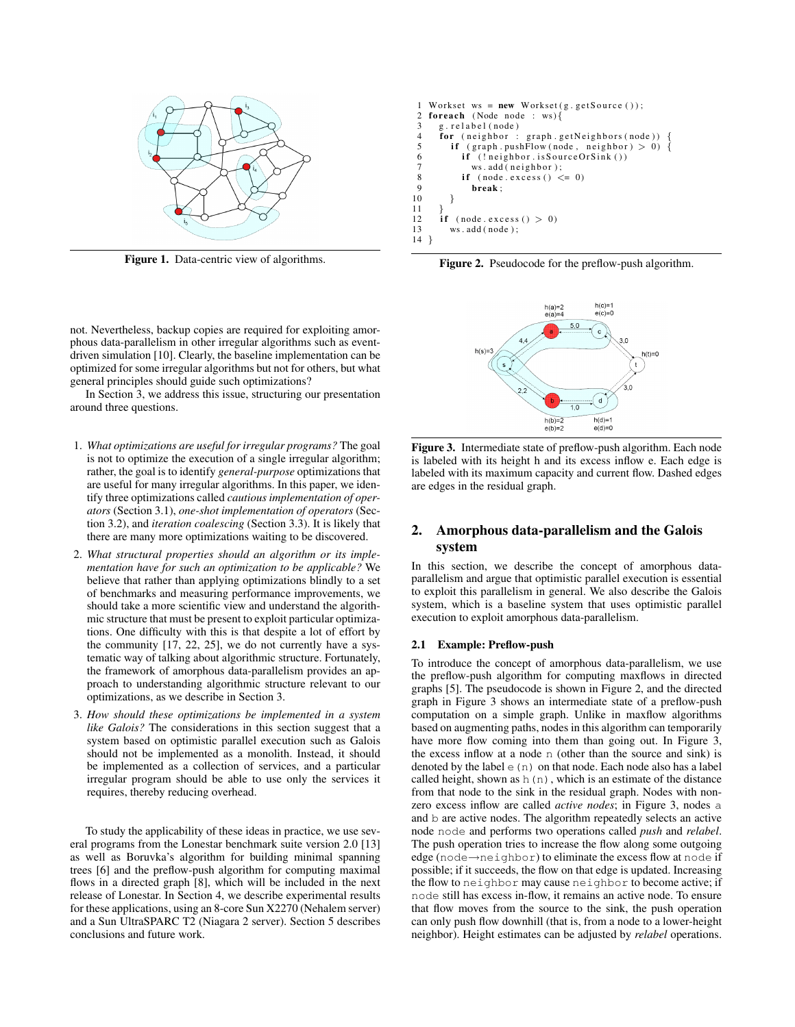

Figure 1. Data-centric view of algorithms.

```
1 Workset ws = new Workset(g get Source ());<br>2 for each (Node node : ws) {
  2 foreach (Node node : ws)\begin{cases} 3 & \text{if } p \text{ is the } p \end{cases}g. r e l a b e l (node)
  4 for (neighbor : graph getNeighbors (node))<br>5 if (graph pushFlow (node, neighbor) > 0)
  5 if (graph pushFlow (node, neighbor) > 0) {<br>6 if (!neighbor.isSourceOrSink())
  6 if \left( ! n eighbor . is Source Or Sink () )<br>7 ws . add ( n eighbor ) :
  7 ws.add(neighbor);<br>8 if (node.excess() \lt8 if (node. excess () \leq = 0)<br>9 break:
                     break ;
10\frac{11}{12}12 if (node . excess () > 0)<br>13 ws. add (node):
             ws.add (node);
14 }
```
Figure 2. Pseudocode for the preflow-push algorithm.

not. Nevertheless, backup copies are required for exploiting amorphous data-parallelism in other irregular algorithms such as eventdriven simulation [10]. Clearly, the baseline implementation can be optimized for some irregular algorithms but not for others, but what general principles should guide such optimizations?

In Section 3, we address this issue, structuring our presentation around three questions.

- 1. *What optimizations are useful for irregular programs?* The goal is not to optimize the execution of a single irregular algorithm; rather, the goal is to identify *general-purpose* optimizations that are useful for many irregular algorithms. In this paper, we identify three optimizations called *cautious implementation of operators* (Section 3.1), *one-shot implementation of operators* (Section 3.2), and *iteration coalescing* (Section 3.3). It is likely that there are many more optimizations waiting to be discovered.
- 2. *What structural properties should an algorithm or its implementation have for such an optimization to be applicable?* We believe that rather than applying optimizations blindly to a set of benchmarks and measuring performance improvements, we should take a more scientific view and understand the algorithmic structure that must be present to exploit particular optimizations. One difficulty with this is that despite a lot of effort by the community [17, 22, 25], we do not currently have a systematic way of talking about algorithmic structure. Fortunately, the framework of amorphous data-parallelism provides an approach to understanding algorithmic structure relevant to our optimizations, as we describe in Section 3.
- 3. *How should these optimizations be implemented in a system like Galois?* The considerations in this section suggest that a system based on optimistic parallel execution such as Galois should not be implemented as a monolith. Instead, it should be implemented as a collection of services, and a particular irregular program should be able to use only the services it requires, thereby reducing overhead.

To study the applicability of these ideas in practice, we use several programs from the Lonestar benchmark suite version 2.0 [13] as well as Boruvka's algorithm for building minimal spanning trees [6] and the preflow-push algorithm for computing maximal flows in a directed graph [8], which will be included in the next release of Lonestar. In Section 4, we describe experimental results for these applications, using an 8-core Sun X2270 (Nehalem server) and a Sun UltraSPARC T2 (Niagara 2 server). Section 5 describes conclusions and future work.



Figure 3. Intermediate state of preflow-push algorithm. Each node is labeled with its height h and its excess inflow e. Each edge is labeled with its maximum capacity and current flow. Dashed edges are edges in the residual graph.

# 2. Amorphous data-parallelism and the Galois system

In this section, we describe the concept of amorphous dataparallelism and argue that optimistic parallel execution is essential to exploit this parallelism in general. We also describe the Galois system, which is a baseline system that uses optimistic parallel execution to exploit amorphous data-parallelism.

## 2.1 Example: Preflow-push

To introduce the concept of amorphous data-parallelism, we use the preflow-push algorithm for computing maxflows in directed graphs [5]. The pseudocode is shown in Figure 2, and the directed graph in Figure 3 shows an intermediate state of a preflow-push computation on a simple graph. Unlike in maxflow algorithms based on augmenting paths, nodes in this algorithm can temporarily have more flow coming into them than going out. In Figure 3, the excess inflow at a node n (other than the source and sink) is denoted by the label  $\in$  (n) on that node. Each node also has a label called height, shown as  $h(n)$ , which is an estimate of the distance from that node to the sink in the residual graph. Nodes with nonzero excess inflow are called *active nodes*; in Figure 3, nodes a and b are active nodes. The algorithm repeatedly selects an active node node and performs two operations called *push* and *relabel*. The push operation tries to increase the flow along some outgoing edge (node→neighbor) to eliminate the excess flow at node if possible; if it succeeds, the flow on that edge is updated. Increasing the flow to neighbor may cause neighbor to become active; if node still has excess in-flow, it remains an active node. To ensure that flow moves from the source to the sink, the push operation can only push flow downhill (that is, from a node to a lower-height neighbor). Height estimates can be adjusted by *relabel* operations.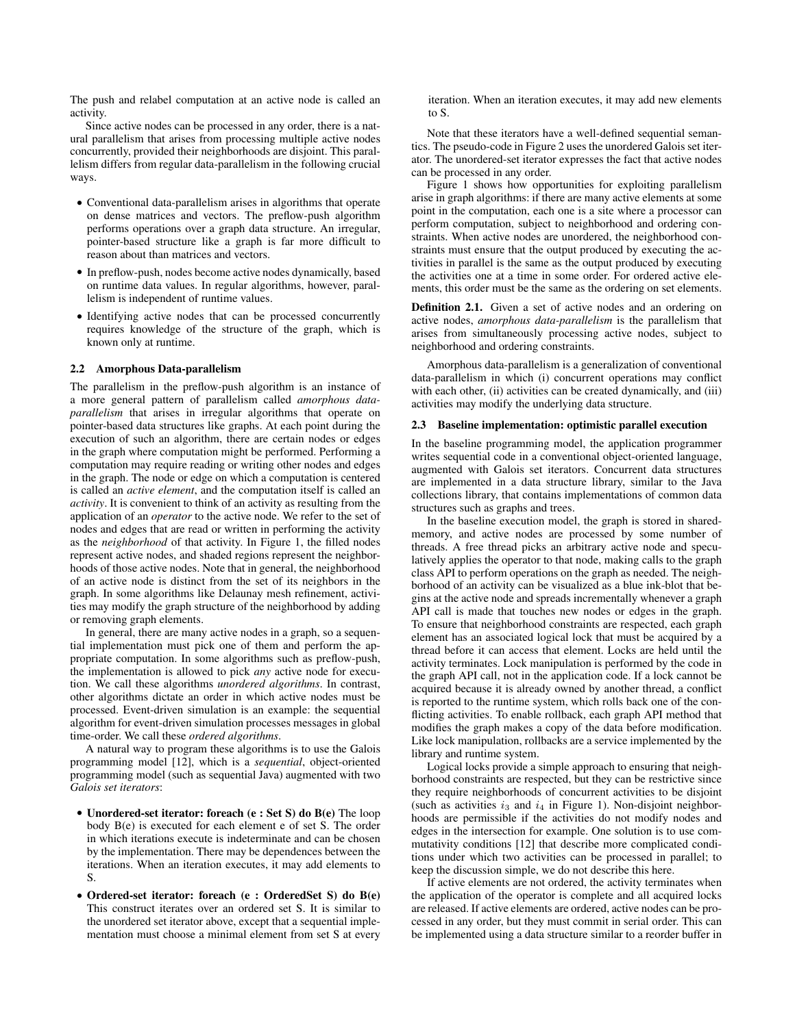The push and relabel computation at an active node is called an activity.

Since active nodes can be processed in any order, there is a natural parallelism that arises from processing multiple active nodes concurrently, provided their neighborhoods are disjoint. This parallelism differs from regular data-parallelism in the following crucial ways.

- Conventional data-parallelism arises in algorithms that operate on dense matrices and vectors. The preflow-push algorithm performs operations over a graph data structure. An irregular, pointer-based structure like a graph is far more difficult to reason about than matrices and vectors.
- In preflow-push, nodes become active nodes dynamically, based on runtime data values. In regular algorithms, however, parallelism is independent of runtime values.
- Identifying active nodes that can be processed concurrently requires knowledge of the structure of the graph, which is known only at runtime.

#### 2.2 Amorphous Data-parallelism

The parallelism in the preflow-push algorithm is an instance of a more general pattern of parallelism called *amorphous dataparallelism* that arises in irregular algorithms that operate on pointer-based data structures like graphs. At each point during the execution of such an algorithm, there are certain nodes or edges in the graph where computation might be performed. Performing a computation may require reading or writing other nodes and edges in the graph. The node or edge on which a computation is centered is called an *active element*, and the computation itself is called an *activity*. It is convenient to think of an activity as resulting from the application of an *operator* to the active node. We refer to the set of nodes and edges that are read or written in performing the activity as the *neighborhood* of that activity. In Figure 1, the filled nodes represent active nodes, and shaded regions represent the neighborhoods of those active nodes. Note that in general, the neighborhood of an active node is distinct from the set of its neighbors in the graph. In some algorithms like Delaunay mesh refinement, activities may modify the graph structure of the neighborhood by adding or removing graph elements.

In general, there are many active nodes in a graph, so a sequential implementation must pick one of them and perform the appropriate computation. In some algorithms such as preflow-push, the implementation is allowed to pick *any* active node for execution. We call these algorithms *unordered algorithms*. In contrast, other algorithms dictate an order in which active nodes must be processed. Event-driven simulation is an example: the sequential algorithm for event-driven simulation processes messages in global time-order. We call these *ordered algorithms*.

A natural way to program these algorithms is to use the Galois programming model [12], which is a *sequential*, object-oriented programming model (such as sequential Java) augmented with two *Galois set iterators*:

- Unordered-set iterator: foreach (e : Set S) do B(e) The loop body B(e) is executed for each element e of set S. The order in which iterations execute is indeterminate and can be chosen by the implementation. There may be dependences between the iterations. When an iteration executes, it may add elements to S.
- Ordered-set iterator: foreach (e : OrderedSet S) do B(e) This construct iterates over an ordered set S. It is similar to the unordered set iterator above, except that a sequential implementation must choose a minimal element from set S at every

iteration. When an iteration executes, it may add new elements to S.

Note that these iterators have a well-defined sequential semantics. The pseudo-code in Figure 2 uses the unordered Galois set iterator. The unordered-set iterator expresses the fact that active nodes can be processed in any order.

Figure 1 shows how opportunities for exploiting parallelism arise in graph algorithms: if there are many active elements at some point in the computation, each one is a site where a processor can perform computation, subject to neighborhood and ordering constraints. When active nodes are unordered, the neighborhood constraints must ensure that the output produced by executing the activities in parallel is the same as the output produced by executing the activities one at a time in some order. For ordered active elements, this order must be the same as the ordering on set elements.

Definition 2.1. Given a set of active nodes and an ordering on active nodes, *amorphous data-parallelism* is the parallelism that arises from simultaneously processing active nodes, subject to neighborhood and ordering constraints.

Amorphous data-parallelism is a generalization of conventional data-parallelism in which (i) concurrent operations may conflict with each other, (ii) activities can be created dynamically, and (iii) activities may modify the underlying data structure.

#### 2.3 Baseline implementation: optimistic parallel execution

In the baseline programming model, the application programmer writes sequential code in a conventional object-oriented language, augmented with Galois set iterators. Concurrent data structures are implemented in a data structure library, similar to the Java collections library, that contains implementations of common data structures such as graphs and trees.

In the baseline execution model, the graph is stored in sharedmemory, and active nodes are processed by some number of threads. A free thread picks an arbitrary active node and speculatively applies the operator to that node, making calls to the graph class API to perform operations on the graph as needed. The neighborhood of an activity can be visualized as a blue ink-blot that begins at the active node and spreads incrementally whenever a graph API call is made that touches new nodes or edges in the graph. To ensure that neighborhood constraints are respected, each graph element has an associated logical lock that must be acquired by a thread before it can access that element. Locks are held until the activity terminates. Lock manipulation is performed by the code in the graph API call, not in the application code. If a lock cannot be acquired because it is already owned by another thread, a conflict is reported to the runtime system, which rolls back one of the conflicting activities. To enable rollback, each graph API method that modifies the graph makes a copy of the data before modification. Like lock manipulation, rollbacks are a service implemented by the library and runtime system.

Logical locks provide a simple approach to ensuring that neighborhood constraints are respected, but they can be restrictive since they require neighborhoods of concurrent activities to be disjoint (such as activities  $i_3$  and  $i_4$  in Figure 1). Non-disjoint neighborhoods are permissible if the activities do not modify nodes and edges in the intersection for example. One solution is to use commutativity conditions [12] that describe more complicated conditions under which two activities can be processed in parallel; to keep the discussion simple, we do not describe this here.

If active elements are not ordered, the activity terminates when the application of the operator is complete and all acquired locks are released. If active elements are ordered, active nodes can be processed in any order, but they must commit in serial order. This can be implemented using a data structure similar to a reorder buffer in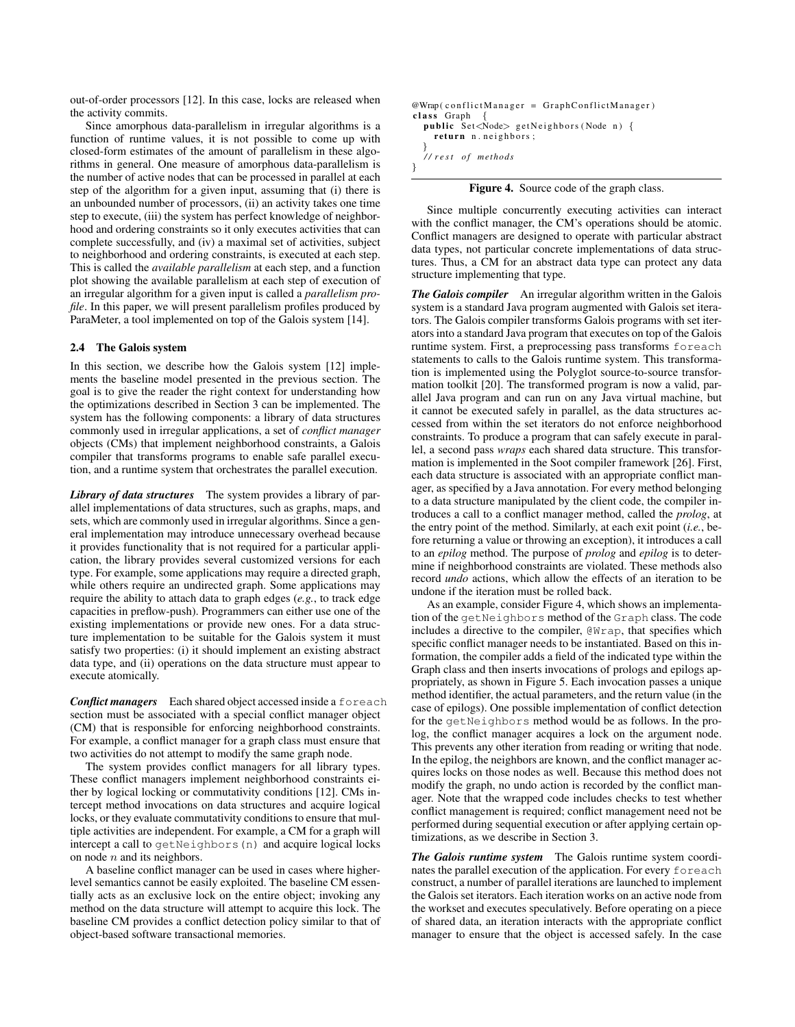out-of-order processors [12]. In this case, locks are released when the activity commits.

Since amorphous data-parallelism in irregular algorithms is a function of runtime values, it is not possible to come up with closed-form estimates of the amount of parallelism in these algorithms in general. One measure of amorphous data-parallelism is the number of active nodes that can be processed in parallel at each step of the algorithm for a given input, assuming that (i) there is an unbounded number of processors, (ii) an activity takes one time step to execute, (iii) the system has perfect knowledge of neighborhood and ordering constraints so it only executes activities that can complete successfully, and (iv) a maximal set of activities, subject to neighborhood and ordering constraints, is executed at each step. This is called the *available parallelism* at each step, and a function plot showing the available parallelism at each step of execution of an irregular algorithm for a given input is called a *parallelism profile*. In this paper, we will present parallelism profiles produced by ParaMeter, a tool implemented on top of the Galois system [14].

#### 2.4 The Galois system

In this section, we describe how the Galois system [12] implements the baseline model presented in the previous section. The goal is to give the reader the right context for understanding how the optimizations described in Section 3 can be implemented. The system has the following components: a library of data structures commonly used in irregular applications, a set of *conflict manager* objects (CMs) that implement neighborhood constraints, a Galois compiler that transforms programs to enable safe parallel execution, and a runtime system that orchestrates the parallel execution.

*Library of data structures* The system provides a library of parallel implementations of data structures, such as graphs, maps, and sets, which are commonly used in irregular algorithms. Since a general implementation may introduce unnecessary overhead because it provides functionality that is not required for a particular application, the library provides several customized versions for each type. For example, some applications may require a directed graph, while others require an undirected graph. Some applications may require the ability to attach data to graph edges (*e.g.*, to track edge capacities in preflow-push). Programmers can either use one of the existing implementations or provide new ones. For a data structure implementation to be suitable for the Galois system it must satisfy two properties: (i) it should implement an existing abstract data type, and (ii) operations on the data structure must appear to execute atomically.

*Conflict managers* Each shared object accessed inside a foreach section must be associated with a special conflict manager object (CM) that is responsible for enforcing neighborhood constraints. For example, a conflict manager for a graph class must ensure that two activities do not attempt to modify the same graph node.

The system provides conflict managers for all library types. These conflict managers implement neighborhood constraints either by logical locking or commutativity conditions [12]. CMs intercept method invocations on data structures and acquire logical locks, or they evaluate commutativity conditions to ensure that multiple activities are independent. For example, a CM for a graph will intercept a call to getNeighbors(n) and acquire logical locks on node  $n$  and its neighbors.

A baseline conflict manager can be used in cases where higherlevel semantics cannot be easily exploited. The baseline CM essentially acts as an exclusive lock on the entire object; invoking any method on the data structure will attempt to acquire this lock. The baseline CM provides a conflict detection policy similar to that of object-based software transactional memories.

```
@Wrap(conflictManager = GraphConflictManager)class Graph {
  public Set<Node> getNeighbors (Node n) {
    return n. neighbors;
  }
  / / r e s t o f met h o d s
}
```
### Figure 4. Source code of the graph class.

Since multiple concurrently executing activities can interact with the conflict manager, the CM's operations should be atomic. Conflict managers are designed to operate with particular abstract data types, not particular concrete implementations of data structures. Thus, a CM for an abstract data type can protect any data structure implementing that type.

*The Galois compiler* An irregular algorithm written in the Galois system is a standard Java program augmented with Galois set iterators. The Galois compiler transforms Galois programs with set iterators into a standard Java program that executes on top of the Galois runtime system. First, a preprocessing pass transforms foreach statements to calls to the Galois runtime system. This transformation is implemented using the Polyglot source-to-source transformation toolkit [20]. The transformed program is now a valid, parallel Java program and can run on any Java virtual machine, but it cannot be executed safely in parallel, as the data structures accessed from within the set iterators do not enforce neighborhood constraints. To produce a program that can safely execute in parallel, a second pass *wraps* each shared data structure. This transformation is implemented in the Soot compiler framework [26]. First, each data structure is associated with an appropriate conflict manager, as specified by a Java annotation. For every method belonging to a data structure manipulated by the client code, the compiler introduces a call to a conflict manager method, called the *prolog*, at the entry point of the method. Similarly, at each exit point (*i.e.*, before returning a value or throwing an exception), it introduces a call to an *epilog* method. The purpose of *prolog* and *epilog* is to determine if neighborhood constraints are violated. These methods also record *undo* actions, which allow the effects of an iteration to be undone if the iteration must be rolled back.

As an example, consider Figure 4, which shows an implementation of the getNeighbors method of the Graph class. The code includes a directive to the compiler, @Wrap, that specifies which specific conflict manager needs to be instantiated. Based on this information, the compiler adds a field of the indicated type within the Graph class and then inserts invocations of prologs and epilogs appropriately, as shown in Figure 5. Each invocation passes a unique method identifier, the actual parameters, and the return value (in the case of epilogs). One possible implementation of conflict detection for the getNeighbors method would be as follows. In the prolog, the conflict manager acquires a lock on the argument node. This prevents any other iteration from reading or writing that node. In the epilog, the neighbors are known, and the conflict manager acquires locks on those nodes as well. Because this method does not modify the graph, no undo action is recorded by the conflict manager. Note that the wrapped code includes checks to test whether conflict management is required; conflict management need not be performed during sequential execution or after applying certain optimizations, as we describe in Section 3.

*The Galois runtime system* The Galois runtime system coordinates the parallel execution of the application. For every foreach construct, a number of parallel iterations are launched to implement the Galois set iterators. Each iteration works on an active node from the workset and executes speculatively. Before operating on a piece of shared data, an iteration interacts with the appropriate conflict manager to ensure that the object is accessed safely. In the case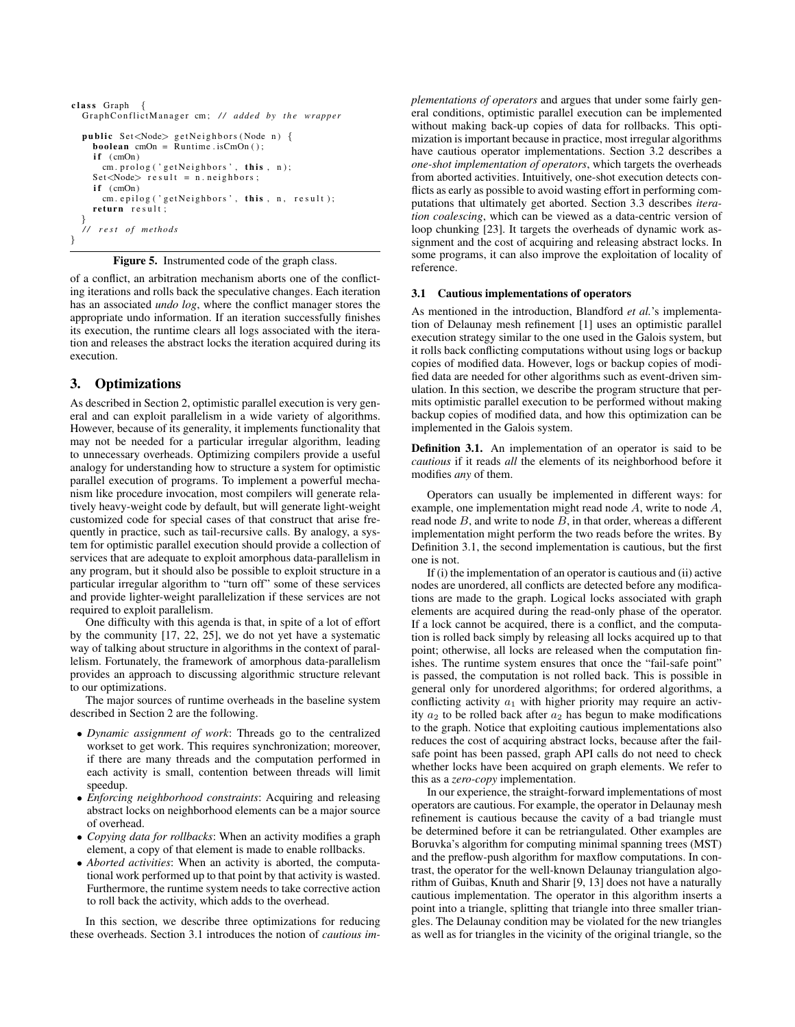```
class Graph {
  GraphConflictManager cm; // added by the wrapper
  public Set<Node> getNeighbors (Node n) {
    boolean cmOn = \text{Runtime}. isCmOn();
    if (cmOn)
      cm. prolog ('getNeighbors', this, n);
    Set < Node> result = n. neighbors;
    if (cmOn)
      cm. epilog ('getNeighbors', this, n, result);
    return result;
  }
  .<br>// rest of methods
}
```
Figure 5. Instrumented code of the graph class.

of a conflict, an arbitration mechanism aborts one of the conflicting iterations and rolls back the speculative changes. Each iteration has an associated *undo log*, where the conflict manager stores the appropriate undo information. If an iteration successfully finishes its execution, the runtime clears all logs associated with the iteration and releases the abstract locks the iteration acquired during its execution.

# 3. Optimizations

As described in Section 2, optimistic parallel execution is very general and can exploit parallelism in a wide variety of algorithms. However, because of its generality, it implements functionality that may not be needed for a particular irregular algorithm, leading to unnecessary overheads. Optimizing compilers provide a useful analogy for understanding how to structure a system for optimistic parallel execution of programs. To implement a powerful mechanism like procedure invocation, most compilers will generate relatively heavy-weight code by default, but will generate light-weight customized code for special cases of that construct that arise frequently in practice, such as tail-recursive calls. By analogy, a system for optimistic parallel execution should provide a collection of services that are adequate to exploit amorphous data-parallelism in any program, but it should also be possible to exploit structure in a particular irregular algorithm to "turn off" some of these services and provide lighter-weight parallelization if these services are not required to exploit parallelism.

One difficulty with this agenda is that, in spite of a lot of effort by the community [17, 22, 25], we do not yet have a systematic way of talking about structure in algorithms in the context of parallelism. Fortunately, the framework of amorphous data-parallelism provides an approach to discussing algorithmic structure relevant to our optimizations.

The major sources of runtime overheads in the baseline system described in Section 2 are the following.

- *Dynamic assignment of work*: Threads go to the centralized workset to get work. This requires synchronization; moreover, if there are many threads and the computation performed in each activity is small, contention between threads will limit speedup.
- *Enforcing neighborhood constraints*: Acquiring and releasing abstract locks on neighborhood elements can be a major source of overhead.
- *Copying data for rollbacks*: When an activity modifies a graph element, a copy of that element is made to enable rollbacks.
- *Aborted activities*: When an activity is aborted, the computational work performed up to that point by that activity is wasted. Furthermore, the runtime system needs to take corrective action to roll back the activity, which adds to the overhead.

In this section, we describe three optimizations for reducing these overheads. Section 3.1 introduces the notion of *cautious im-* *plementations of operators* and argues that under some fairly general conditions, optimistic parallel execution can be implemented without making back-up copies of data for rollbacks. This optimization is important because in practice, most irregular algorithms have cautious operator implementations. Section 3.2 describes a *one-shot implementation of operators*, which targets the overheads from aborted activities. Intuitively, one-shot execution detects conflicts as early as possible to avoid wasting effort in performing computations that ultimately get aborted. Section 3.3 describes *iteration coalescing*, which can be viewed as a data-centric version of loop chunking [23]. It targets the overheads of dynamic work assignment and the cost of acquiring and releasing abstract locks. In some programs, it can also improve the exploitation of locality of reference.

#### 3.1 Cautious implementations of operators

As mentioned in the introduction, Blandford *et al.*'s implementation of Delaunay mesh refinement [1] uses an optimistic parallel execution strategy similar to the one used in the Galois system, but it rolls back conflicting computations without using logs or backup copies of modified data. However, logs or backup copies of modified data are needed for other algorithms such as event-driven simulation. In this section, we describe the program structure that permits optimistic parallel execution to be performed without making backup copies of modified data, and how this optimization can be implemented in the Galois system.

Definition 3.1. An implementation of an operator is said to be *cautious* if it reads *all* the elements of its neighborhood before it modifies *any* of them.

Operators can usually be implemented in different ways: for example, one implementation might read node A, write to node A, read node  $B$ , and write to node  $\overline{B}$ , in that order, whereas a different implementation might perform the two reads before the writes. By Definition 3.1, the second implementation is cautious, but the first one is not.

If (i) the implementation of an operator is cautious and (ii) active nodes are unordered, all conflicts are detected before any modifications are made to the graph. Logical locks associated with graph elements are acquired during the read-only phase of the operator. If a lock cannot be acquired, there is a conflict, and the computation is rolled back simply by releasing all locks acquired up to that point; otherwise, all locks are released when the computation finishes. The runtime system ensures that once the "fail-safe point" is passed, the computation is not rolled back. This is possible in general only for unordered algorithms; for ordered algorithms, a conflicting activity  $a_1$  with higher priority may require an activity  $a_2$  to be rolled back after  $a_2$  has begun to make modifications to the graph. Notice that exploiting cautious implementations also reduces the cost of acquiring abstract locks, because after the failsafe point has been passed, graph API calls do not need to check whether locks have been acquired on graph elements. We refer to this as a *zero-copy* implementation.

In our experience, the straight-forward implementations of most operators are cautious. For example, the operator in Delaunay mesh refinement is cautious because the cavity of a bad triangle must be determined before it can be retriangulated. Other examples are Boruvka's algorithm for computing minimal spanning trees (MST) and the preflow-push algorithm for maxflow computations. In contrast, the operator for the well-known Delaunay triangulation algorithm of Guibas, Knuth and Sharir [9, 13] does not have a naturally cautious implementation. The operator in this algorithm inserts a point into a triangle, splitting that triangle into three smaller triangles. The Delaunay condition may be violated for the new triangles as well as for triangles in the vicinity of the original triangle, so the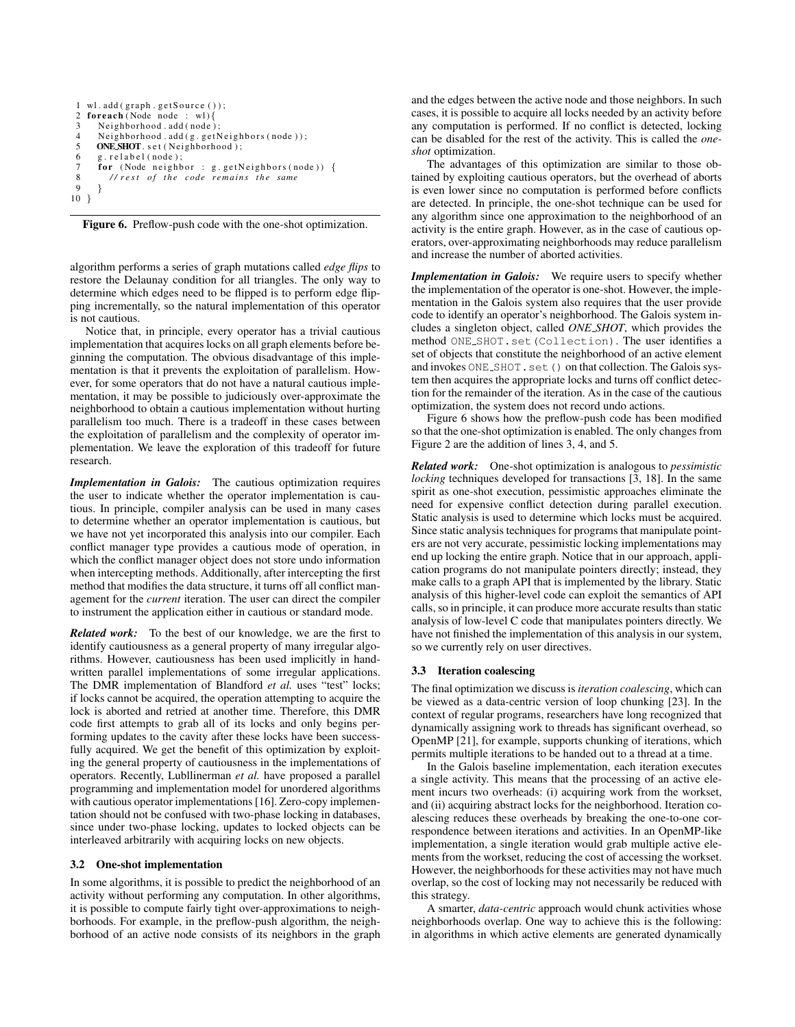```
1 wl.add (graph.getSource());
 2 foreach (Node node : wl)\{<br>3 Neighborhood.add (node)
        Neighborhood.add(node);
 4 Neighborhood.add (g. get Neighbors (node));<br>5 ONE SHOT. set (Neighborhood):
 5 ONE SHOT. set (Neighborhood);<br>6 g. relabel (node);
 6 g. relabel (node);<br>7 for (Node neighb)
 7 for (Node neighbor : g . get Neighbors (node)) {<br>8 // rest of the code remains the same
           // rest of the code remains the same
 \overline{Q}10 }
```
Figure 6. Preflow-push code with the one-shot optimization.

algorithm performs a series of graph mutations called *edge flips* to restore the Delaunay condition for all triangles. The only way to determine which edges need to be flipped is to perform edge flipping incrementally, so the natural implementation of this operator is not cautious.

Notice that, in principle, every operator has a trivial cautious implementation that acquires locks on all graph elements before beginning the computation. The obvious disadvantage of this implementation is that it prevents the exploitation of parallelism. However, for some operators that do not have a natural cautious implementation, it may be possible to judiciously over-approximate the neighborhood to obtain a cautious implementation without hurting parallelism too much. There is a tradeoff in these cases between the exploitation of parallelism and the complexity of operator implementation. We leave the exploration of this tradeoff for future research.

*Implementation in Galois:* The cautious optimization requires the user to indicate whether the operator implementation is cautious. In principle, compiler analysis can be used in many cases to determine whether an operator implementation is cautious, but we have not yet incorporated this analysis into our compiler. Each conflict manager type provides a cautious mode of operation, in which the conflict manager object does not store undo information when intercepting methods. Additionally, after intercepting the first method that modifies the data structure, it turns off all conflict management for the *current* iteration. The user can direct the compiler to instrument the application either in cautious or standard mode.

*Related work:* To the best of our knowledge, we are the first to identify cautiousness as a general property of many irregular algorithms. However, cautiousness has been used implicitly in handwritten parallel implementations of some irregular applications. The DMR implementation of Blandford *et al.* uses "test" locks; if locks cannot be acquired, the operation attempting to acquire the lock is aborted and retried at another time. Therefore, this DMR code first attempts to grab all of its locks and only begins performing updates to the cavity after these locks have been successfully acquired. We get the benefit of this optimization by exploiting the general property of cautiousness in the implementations of operators. Recently, Lubllinerman *et al.* have proposed a parallel programming and implementation model for unordered algorithms with cautious operator implementations [16]. Zero-copy implementation should not be confused with two-phase locking in databases, since under two-phase locking, updates to locked objects can be interleaved arbitrarily with acquiring locks on new objects.

#### 3.2 One-shot implementation

In some algorithms, it is possible to predict the neighborhood of an activity without performing any computation. In other algorithms, it is possible to compute fairly tight over-approximations to neighborhoods. For example, in the preflow-push algorithm, the neighborhood of an active node consists of its neighbors in the graph and the edges between the active node and those neighbors. In such cases, it is possible to acquire all locks needed by an activity before any computation is performed. If no conflict is detected, locking can be disabled for the rest of the activity. This is called the *oneshot* optimization.

The advantages of this optimization are similar to those obtained by exploiting cautious operators, but the overhead of aborts is even lower since no computation is performed before conflicts are detected. In principle, the one-shot technique can be used for any algorithm since one approximation to the neighborhood of an activity is the entire graph. However, as in the case of cautious operators, over-approximating neighborhoods may reduce parallelism and increase the number of aborted activities.

*Implementation in Galois:* We require users to specify whether the implementation of the operator is one-shot. However, the implementation in the Galois system also requires that the user provide code to identify an operator's neighborhood. The Galois system includes a singleton object, called *ONE SHOT*, which provides the method ONE SHOT.set(Collection). The user identifies a set of objects that constitute the neighborhood of an active element and invokes ONE\_SHOT. set() on that collection. The Galois system then acquires the appropriate locks and turns off conflict detection for the remainder of the iteration. As in the case of the cautious optimization, the system does not record undo actions.

Figure 6 shows how the preflow-push code has been modified so that the one-shot optimization is enabled. The only changes from Figure 2 are the addition of lines 3, 4, and 5.

*Related work:* One-shot optimization is analogous to *pessimistic locking* techniques developed for transactions [3, 18]. In the same spirit as one-shot execution, pessimistic approaches eliminate the need for expensive conflict detection during parallel execution. Static analysis is used to determine which locks must be acquired. Since static analysis techniques for programs that manipulate pointers are not very accurate, pessimistic locking implementations may end up locking the entire graph. Notice that in our approach, application programs do not manipulate pointers directly; instead, they make calls to a graph API that is implemented by the library. Static analysis of this higher-level code can exploit the semantics of API calls, so in principle, it can produce more accurate results than static analysis of low-level C code that manipulates pointers directly. We have not finished the implementation of this analysis in our system, so we currently rely on user directives.

#### 3.3 Iteration coalescing

The final optimization we discuss is *iteration coalescing*, which can be viewed as a data-centric version of loop chunking [23]. In the context of regular programs, researchers have long recognized that dynamically assigning work to threads has significant overhead, so OpenMP [21], for example, supports chunking of iterations, which permits multiple iterations to be handed out to a thread at a time.

In the Galois baseline implementation, each iteration executes a single activity. This means that the processing of an active element incurs two overheads: (i) acquiring work from the workset, and (ii) acquiring abstract locks for the neighborhood. Iteration coalescing reduces these overheads by breaking the one-to-one correspondence between iterations and activities. In an OpenMP-like implementation, a single iteration would grab multiple active elements from the workset, reducing the cost of accessing the workset. However, the neighborhoods for these activities may not have much overlap, so the cost of locking may not necessarily be reduced with this strategy.

A smarter, *data-centric* approach would chunk activities whose neighborhoods overlap. One way to achieve this is the following: in algorithms in which active elements are generated dynamically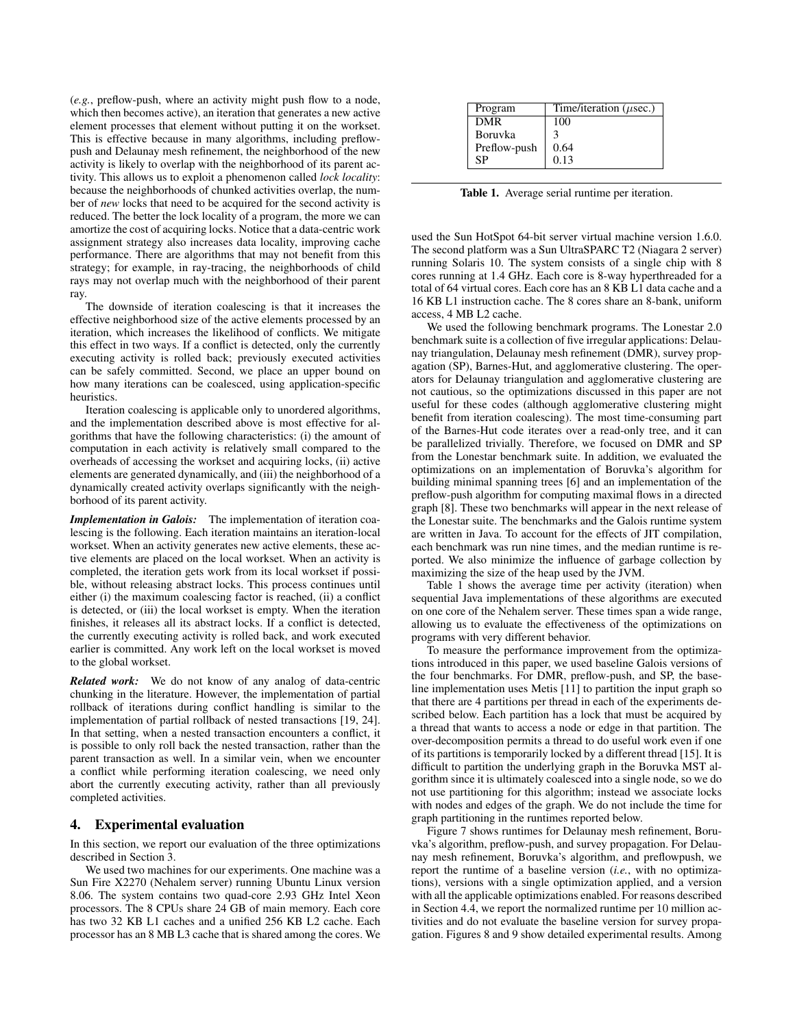(*e.g.*, preflow-push, where an activity might push flow to a node, which then becomes active), an iteration that generates a new active element processes that element without putting it on the workset. This is effective because in many algorithms, including preflowpush and Delaunay mesh refinement, the neighborhood of the new activity is likely to overlap with the neighborhood of its parent activity. This allows us to exploit a phenomenon called *lock locality*: because the neighborhoods of chunked activities overlap, the number of *new* locks that need to be acquired for the second activity is reduced. The better the lock locality of a program, the more we can amortize the cost of acquiring locks. Notice that a data-centric work assignment strategy also increases data locality, improving cache performance. There are algorithms that may not benefit from this strategy; for example, in ray-tracing, the neighborhoods of child rays may not overlap much with the neighborhood of their parent ray.

The downside of iteration coalescing is that it increases the effective neighborhood size of the active elements processed by an iteration, which increases the likelihood of conflicts. We mitigate this effect in two ways. If a conflict is detected, only the currently executing activity is rolled back; previously executed activities can be safely committed. Second, we place an upper bound on how many iterations can be coalesced, using application-specific heuristics.

Iteration coalescing is applicable only to unordered algorithms, and the implementation described above is most effective for algorithms that have the following characteristics: (i) the amount of computation in each activity is relatively small compared to the overheads of accessing the workset and acquiring locks, (ii) active elements are generated dynamically, and (iii) the neighborhood of a dynamically created activity overlaps significantly with the neighborhood of its parent activity.

*Implementation in Galois:* The implementation of iteration coalescing is the following. Each iteration maintains an iteration-local workset. When an activity generates new active elements, these active elements are placed on the local workset. When an activity is completed, the iteration gets work from its local workset if possible, without releasing abstract locks. This process continues until either (i) the maximum coalescing factor is reached, (ii) a conflict is detected, or (iii) the local workset is empty. When the iteration finishes, it releases all its abstract locks. If a conflict is detected, the currently executing activity is rolled back, and work executed earlier is committed. Any work left on the local workset is moved to the global workset.

*Related work:* We do not know of any analog of data-centric chunking in the literature. However, the implementation of partial rollback of iterations during conflict handling is similar to the implementation of partial rollback of nested transactions [19, 24]. In that setting, when a nested transaction encounters a conflict, it is possible to only roll back the nested transaction, rather than the parent transaction as well. In a similar vein, when we encounter a conflict while performing iteration coalescing, we need only abort the currently executing activity, rather than all previously completed activities.

## 4. Experimental evaluation

In this section, we report our evaluation of the three optimizations described in Section 3.

We used two machines for our experiments. One machine was a Sun Fire X2270 (Nehalem server) running Ubuntu Linux version 8.06. The system contains two quad-core 2.93 GHz Intel Xeon processors. The 8 CPUs share 24 GB of main memory. Each core has two 32 KB L1 caches and a unified 256 KB L2 cache. Each processor has an 8 MB L3 cache that is shared among the cores. We

| Program        | Time/iteration ( $\mu$ sec.) |
|----------------|------------------------------|
| <b>DMR</b>     | 100                          |
| <b>Boruvka</b> |                              |
| Preflow-push   | 0.64                         |
| SΡ             | 0.13                         |

Table 1. Average serial runtime per iteration.

used the Sun HotSpot 64-bit server virtual machine version 1.6.0. The second platform was a Sun UltraSPARC T2 (Niagara 2 server) running Solaris 10. The system consists of a single chip with 8 cores running at 1.4 GHz. Each core is 8-way hyperthreaded for a total of 64 virtual cores. Each core has an 8 KB L1 data cache and a 16 KB L1 instruction cache. The 8 cores share an 8-bank, uniform access, 4 MB L2 cache.

We used the following benchmark programs. The Lonestar 2.0 benchmark suite is a collection of five irregular applications: Delaunay triangulation, Delaunay mesh refinement (DMR), survey propagation (SP), Barnes-Hut, and agglomerative clustering. The operators for Delaunay triangulation and agglomerative clustering are not cautious, so the optimizations discussed in this paper are not useful for these codes (although agglomerative clustering might benefit from iteration coalescing). The most time-consuming part of the Barnes-Hut code iterates over a read-only tree, and it can be parallelized trivially. Therefore, we focused on DMR and SP from the Lonestar benchmark suite. In addition, we evaluated the optimizations on an implementation of Boruvka's algorithm for building minimal spanning trees [6] and an implementation of the preflow-push algorithm for computing maximal flows in a directed graph [8]. These two benchmarks will appear in the next release of the Lonestar suite. The benchmarks and the Galois runtime system are written in Java. To account for the effects of JIT compilation, each benchmark was run nine times, and the median runtime is reported. We also minimize the influence of garbage collection by maximizing the size of the heap used by the JVM.

Table 1 shows the average time per activity (iteration) when sequential Java implementations of these algorithms are executed on one core of the Nehalem server. These times span a wide range, allowing us to evaluate the effectiveness of the optimizations on programs with very different behavior.

To measure the performance improvement from the optimizations introduced in this paper, we used baseline Galois versions of the four benchmarks. For DMR, preflow-push, and SP, the baseline implementation uses Metis [11] to partition the input graph so that there are 4 partitions per thread in each of the experiments described below. Each partition has a lock that must be acquired by a thread that wants to access a node or edge in that partition. The over-decomposition permits a thread to do useful work even if one of its partitions is temporarily locked by a different thread [15]. It is difficult to partition the underlying graph in the Boruvka MST algorithm since it is ultimately coalesced into a single node, so we do not use partitioning for this algorithm; instead we associate locks with nodes and edges of the graph. We do not include the time for graph partitioning in the runtimes reported below.

Figure 7 shows runtimes for Delaunay mesh refinement, Boruvka's algorithm, preflow-push, and survey propagation. For Delaunay mesh refinement, Boruvka's algorithm, and preflowpush, we report the runtime of a baseline version (*i.e.*, with no optimizations), versions with a single optimization applied, and a version with all the applicable optimizations enabled. For reasons described in Section 4.4, we report the normalized runtime per 10 million activities and do not evaluate the baseline version for survey propagation. Figures 8 and 9 show detailed experimental results. Among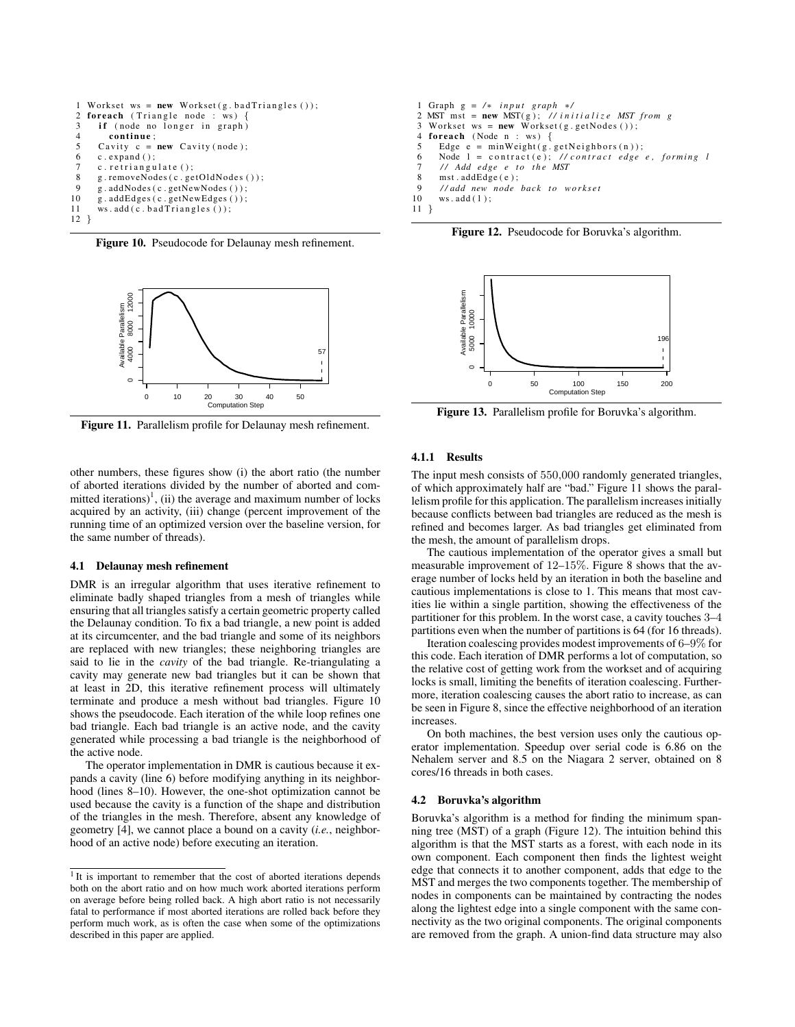```
1 Workset ws = new Workset(g. bad Triangles());<br>2 foreach (Triangle node : ws) {
 2 foreach (Triangle node : ws) \{3 \} if (node no longer in graph)
 \begin{array}{cc} 3 & \text{if} \ (\text{node no longer in graph}) \\ 4 & \text{continue} \end{array}4 continue;<br>5 Cavity c =5 Cavity c = new Cavity (node);<br>6 c. expand ();
         c. expand ();
 7 c. r et riangulate ();<br>8 g. r emove Nodes (c. ge
 8 g. removeNodes (c. getOldNodes ());<br>9 g addNodes (c. getNewNodes ());
9 g. addNodes (c. getNewNodes ());<br>10 g. addEdges (c. getNewEdges ());
10 g . addEdges (c.getNewEdges ());<br>11 ws.add(c.badTriangles());
          ws.add(c.\text{badTriangles}());12 }
```
Figure 10. Pseudocode for Delaunay mesh refinement.



Figure 11. Parallelism profile for Delaunay mesh refinement.

other numbers, these figures show (i) the abort ratio (the number of aborted iterations divided by the number of aborted and committed iterations)<sup>1</sup>, (ii) the average and maximum number of locks acquired by an activity, (iii) change (percent improvement of the running time of an optimized version over the baseline version, for the same number of threads).

#### 4.1 Delaunay mesh refinement

DMR is an irregular algorithm that uses iterative refinement to eliminate badly shaped triangles from a mesh of triangles while ensuring that all triangles satisfy a certain geometric property called the Delaunay condition. To fix a bad triangle, a new point is added at its circumcenter, and the bad triangle and some of its neighbors are replaced with new triangles; these neighboring triangles are said to lie in the *cavity* of the bad triangle. Re-triangulating a cavity may generate new bad triangles but it can be shown that at least in 2D, this iterative refinement process will ultimately terminate and produce a mesh without bad triangles. Figure 10 shows the pseudocode. Each iteration of the while loop refines one bad triangle. Each bad triangle is an active node, and the cavity generated while processing a bad triangle is the neighborhood of the active node.

The operator implementation in DMR is cautious because it expands a cavity (line 6) before modifying anything in its neighborhood (lines 8–10). However, the one-shot optimization cannot be used because the cavity is a function of the shape and distribution of the triangles in the mesh. Therefore, absent any knowledge of geometry [4], we cannot place a bound on a cavity (*i.e.*, neighborhood of an active node) before executing an iteration.

```
1 Graph g = /∗ i n p u t g r a p h ∗/
 2 MST mst = new MST(g); //initialize MST from g 3 Workset ws = new Workset(g, getNodes());
 3 Workset ws = new Workset(g.getNodes());<br>4 foreach (Node n : ws) {
 4 foreach (Node n : ws) {<br>5 Edge e = minWeight(g,5 Edge e = minWeight(g getNeighbors(n));<br>6 Node 1 = contract(e); //contract edge
 6 Node l = \text{contract}(e); // contract edge e, forming l \frac{1}{l} // Add edge e to the MST
 7 // Add edge e to the MST<br>8 mst.addEdge(e):
 8 mst. addEdge(e);<br>9 //add_new_node
9 // add new node back to workset<br>10 ws.add(1):
```
 $ws$  .  $add(1)$  :

```
11 }
```
Figure 12. Pseudocode for Boruvka's algorithm.



Figure 13. Parallelism profile for Boruvka's algorithm.

# 4.1.1 Results

The input mesh consists of 550,000 randomly generated triangles, of which approximately half are "bad." Figure 11 shows the parallelism profile for this application. The parallelism increases initially because conflicts between bad triangles are reduced as the mesh is refined and becomes larger. As bad triangles get eliminated from the mesh, the amount of parallelism drops.

The cautious implementation of the operator gives a small but measurable improvement of 12–15%. Figure 8 shows that the average number of locks held by an iteration in both the baseline and cautious implementations is close to 1. This means that most cavities lie within a single partition, showing the effectiveness of the partitioner for this problem. In the worst case, a cavity touches 3–4 partitions even when the number of partitions is 64 (for 16 threads).

Iteration coalescing provides modest improvements of 6–9% for this code. Each iteration of DMR performs a lot of computation, so the relative cost of getting work from the workset and of acquiring locks is small, limiting the benefits of iteration coalescing. Furthermore, iteration coalescing causes the abort ratio to increase, as can be seen in Figure 8, since the effective neighborhood of an iteration increases.

On both machines, the best version uses only the cautious operator implementation. Speedup over serial code is 6.86 on the Nehalem server and 8.5 on the Niagara 2 server, obtained on 8 cores/16 threads in both cases.

#### 4.2 Boruvka's algorithm

Boruvka's algorithm is a method for finding the minimum spanning tree (MST) of a graph (Figure 12). The intuition behind this algorithm is that the MST starts as a forest, with each node in its own component. Each component then finds the lightest weight edge that connects it to another component, adds that edge to the MST and merges the two components together. The membership of nodes in components can be maintained by contracting the nodes along the lightest edge into a single component with the same connectivity as the two original components. The original components are removed from the graph. A union-find data structure may also

<sup>&</sup>lt;sup>1</sup> It is important to remember that the cost of aborted iterations depends both on the abort ratio and on how much work aborted iterations perform on average before being rolled back. A high abort ratio is not necessarily fatal to performance if most aborted iterations are rolled back before they perform much work, as is often the case when some of the optimizations described in this paper are applied.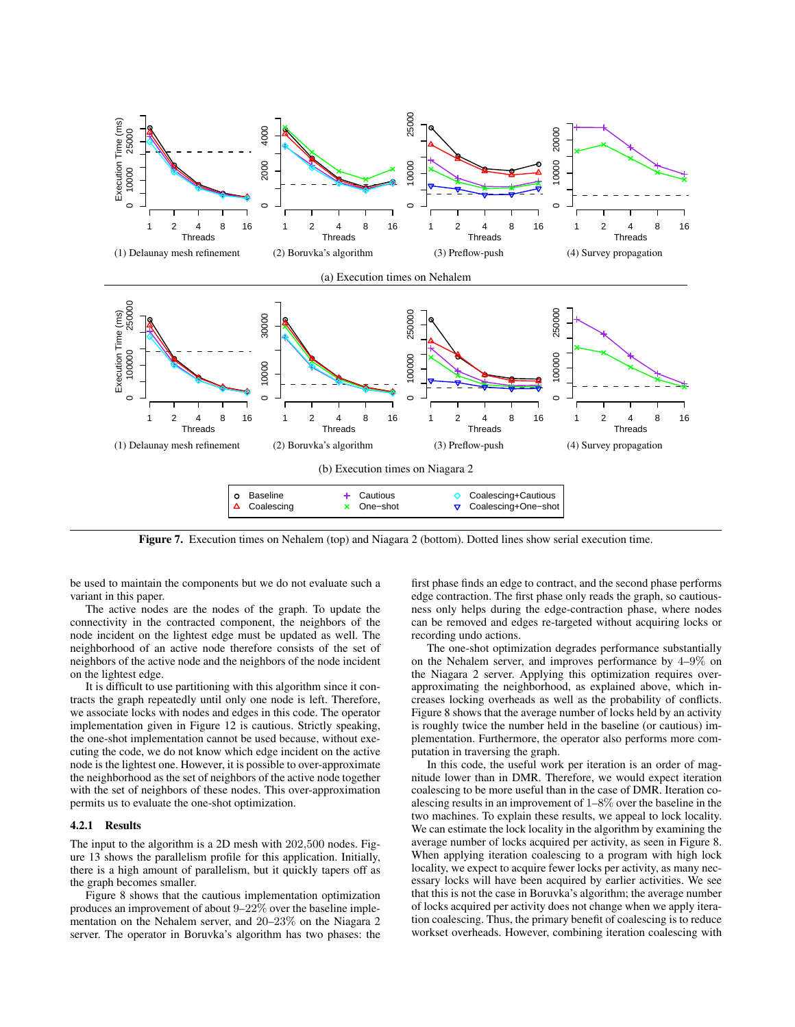

Figure 7. Execution times on Nehalem (top) and Niagara 2 (bottom). Dotted lines show serial execution time.

be used to maintain the components but we do not evaluate such a variant in this paper.

The active nodes are the nodes of the graph. To update the connectivity in the contracted component, the neighbors of the node incident on the lightest edge must be updated as well. The neighborhood of an active node therefore consists of the set of neighbors of the active node and the neighbors of the node incident on the lightest edge.

It is difficult to use partitioning with this algorithm since it contracts the graph repeatedly until only one node is left. Therefore, we associate locks with nodes and edges in this code. The operator implementation given in Figure 12 is cautious. Strictly speaking, the one-shot implementation cannot be used because, without executing the code, we do not know which edge incident on the active node is the lightest one. However, it is possible to over-approximate the neighborhood as the set of neighbors of the active node together with the set of neighbors of these nodes. This over-approximation permits us to evaluate the one-shot optimization.

## 4.2.1 Results

The input to the algorithm is a 2D mesh with 202,500 nodes. Figure 13 shows the parallelism profile for this application. Initially, there is a high amount of parallelism, but it quickly tapers off as the graph becomes smaller.

Figure 8 shows that the cautious implementation optimization produces an improvement of about 9–22% over the baseline implementation on the Nehalem server, and 20–23% on the Niagara 2 server. The operator in Boruvka's algorithm has two phases: the first phase finds an edge to contract, and the second phase performs edge contraction. The first phase only reads the graph, so cautiousness only helps during the edge-contraction phase, where nodes can be removed and edges re-targeted without acquiring locks or recording undo actions.

The one-shot optimization degrades performance substantially on the Nehalem server, and improves performance by 4–9% on the Niagara 2 server. Applying this optimization requires overapproximating the neighborhood, as explained above, which increases locking overheads as well as the probability of conflicts. Figure 8 shows that the average number of locks held by an activity is roughly twice the number held in the baseline (or cautious) implementation. Furthermore, the operator also performs more computation in traversing the graph.

In this code, the useful work per iteration is an order of magnitude lower than in DMR. Therefore, we would expect iteration coalescing to be more useful than in the case of DMR. Iteration coalescing results in an improvement of 1–8% over the baseline in the two machines. To explain these results, we appeal to lock locality. We can estimate the lock locality in the algorithm by examining the average number of locks acquired per activity, as seen in Figure 8. When applying iteration coalescing to a program with high lock locality, we expect to acquire fewer locks per activity, as many necessary locks will have been acquired by earlier activities. We see that this is not the case in Boruvka's algorithm; the average number of locks acquired per activity does not change when we apply iteration coalescing. Thus, the primary benefit of coalescing is to reduce workset overheads. However, combining iteration coalescing with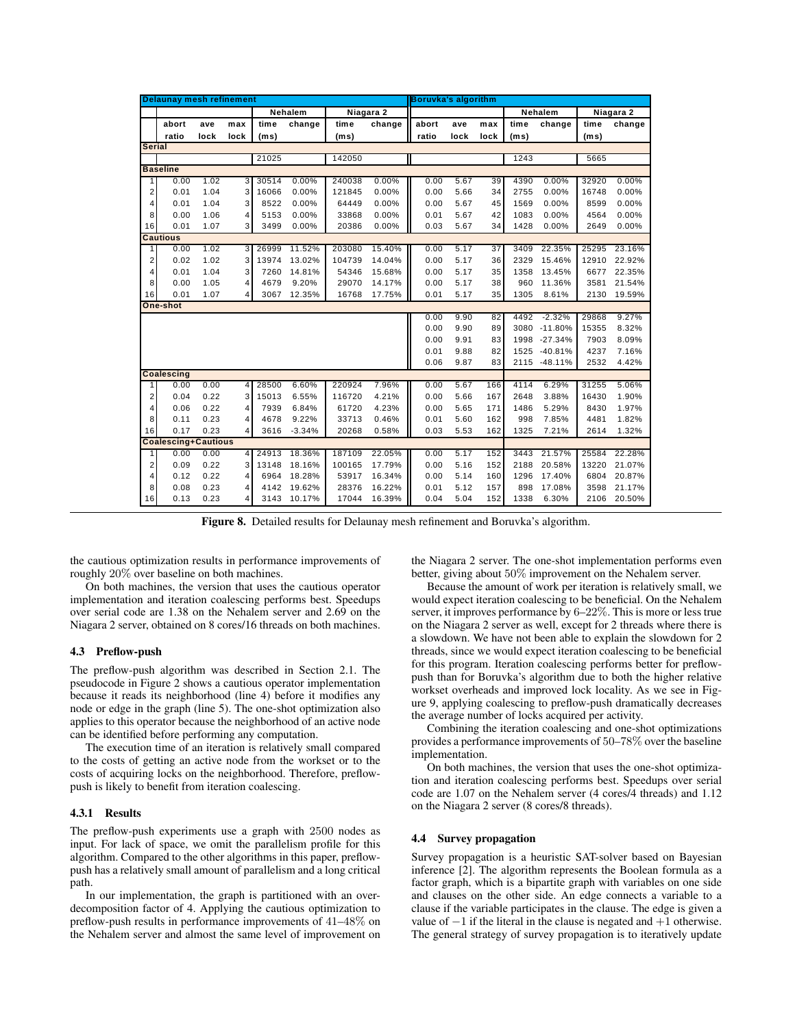| <b>Delaunay mesh refinement</b> |                   |      |      |                   |          |           |        | <b>Boruvka's algorithm</b> |      |      |                   |              |                   |        |  |
|---------------------------------|-------------------|------|------|-------------------|----------|-----------|--------|----------------------------|------|------|-------------------|--------------|-------------------|--------|--|
|                                 |                   |      |      |                   | Nehalem  | Niagara 2 |        |                            |      |      | Nehalem           |              | Niagara 2         |        |  |
|                                 | abort             | ave  | max  | time              | change   | time      | change | abort                      | ave  | max  | time              | change       | time              | change |  |
|                                 | ratio             | lock | lock | (m <sub>s</sub> ) |          | (ms)      |        | ratio                      | lock | lock | (m <sub>s</sub> ) |              | (m <sub>s</sub> ) |        |  |
| <b>Serial</b>                   |                   |      |      |                   |          |           |        |                            |      |      |                   |              |                   |        |  |
|                                 |                   |      |      | 21025             |          | 142050    |        |                            |      |      | 1243              |              | 5665              |        |  |
|                                 | <b>Baseline</b>   |      |      |                   |          |           |        |                            |      |      |                   |              |                   |        |  |
| 1                               | 0.00              | 1.02 | 3    | 30514             | 0.00%    | 240038    | 0.00%  | 0.00                       | 5.67 | 39   | 4390              | 0.00%        | 32920             | 0.00%  |  |
| 2                               | 0.01              | 1.04 | 3    | 16066             | 0.00%    | 121845    | 0.00%  | 0.00                       | 5.66 | 34   | 2755              | 0.00%        | 16748             | 0.00%  |  |
| 4                               | 0.01              | 1.04 | 3    | 8522              | 0.00%    | 64449     | 0.00%  | 0.00                       | 5.67 | 45   | 1569              | 0.00%        | 8599              | 0.00%  |  |
| 8                               | 0.00              | 1.06 | 4    | 5153              | 0.00%    | 33868     | 0.00%  | 0.01                       | 5.67 | 42   | 1083              | 0.00%        | 4564              | 0.00%  |  |
| 16                              | 0.01              | 1.07 | 3    | 3499              | 0.00%    | 20386     | 0.00%  | 0.03                       | 5.67 | 34   | 1428              | 0.00%        | 2649              | 0.00%  |  |
|                                 | <b>Cautious</b>   |      |      |                   |          |           |        |                            |      |      |                   |              |                   |        |  |
| $\mathbf{1}$                    | 0.00              | 1.02 | 3    | 26999             | 11.52%   | 203080    | 15.40% | 0.00                       | 5.17 | 37   | 3409              | 22.35%       | 25295             | 23.16% |  |
| $\mathbf 2$                     | 0.02              | 1.02 | 3    | 13974             | 13.02%   | 104739    | 14.04% | 0.00                       | 5.17 | 36   | 2329              | 15.46%       | 12910             | 22.92% |  |
| 4                               | 0.01              | 1.04 | 3    | 7260              | 14.81%   | 54346     | 15.68% | 0.00                       | 5.17 | 35   | 1358              | 13.45%       | 6677              | 22.35% |  |
| 8                               | 0.00              | 1.05 | 4    | 4679              | 9.20%    | 29070     | 14.17% | 0.00                       | 5.17 | 38   | 960               | 11.36%       | 3581              | 21.54% |  |
| 16                              | 0.01              | 1.07 | 4    | 3067              | 12.35%   | 16768     | 17.75% | 0.01                       | 5.17 | 35   | 1305              | 8.61%        | 2130              | 19.59% |  |
|                                 | One-shot          |      |      |                   |          |           |        |                            |      |      |                   |              |                   |        |  |
|                                 |                   |      |      |                   |          |           |        | 0.00                       | 9.90 | 82   | 4492              | $-2.32%$     | 29868             | 9.27%  |  |
|                                 |                   |      |      |                   |          |           |        | 0.00                       | 9.90 | 89   |                   | 3080 -11.80% | 15355             | 8.32%  |  |
|                                 |                   |      |      |                   |          |           |        | 0.00                       | 9.91 | 83   |                   | 1998 -27.34% | 7903              | 8.09%  |  |
|                                 |                   |      |      |                   |          |           |        | 0.01                       | 9.88 | 82   | 1525              | $-40.81%$    | 4237              | 7.16%  |  |
|                                 |                   |      |      |                   |          |           |        | 0.06                       | 9.87 | 83   |                   | 2115 -48.11% | 2532              | 4.42%  |  |
|                                 | <b>Coalescing</b> |      |      |                   |          |           |        |                            |      |      |                   |              |                   |        |  |
| 1                               | 0.00              | 0.00 | 4    | 28500             | 6.60%    | 220924    | 7.96%  | 0.00                       | 5.67 | 166  | 4114              | 6.29%        | 31255             | 5.06%  |  |
| 2                               | 0.04              | 0.22 | 3    | 15013             | 6.55%    | 116720    | 4.21%  | 0.00                       | 5.66 | 167  | 2648              | 3.88%        | 16430             | 1.90%  |  |
| 4                               | 0.06              | 0.22 | 4    | 7939              | 6.84%    | 61720     | 4.23%  | 0.00                       | 5.65 | 171  | 1486              | 5.29%        | 8430              | 1.97%  |  |
| 8                               | 0.11              | 0.23 | 4    | 4678              | 9.22%    | 33713     | 0.46%  | 0.01                       | 5.60 | 162  | 998               | 7.85%        | 4481              | 1.82%  |  |
| 16                              | 0.17              | 0.23 | 4    | 3616              | $-3.34%$ | 20268     | 0.58%  | 0.03                       | 5.53 | 162  | 1325              | 7.21%        | 2614              | 1.32%  |  |
| Coalescing+Cautious             |                   |      |      |                   |          |           |        |                            |      |      |                   |              |                   |        |  |
| 1                               | 0.00              | 0.00 | 4    | 24913             | 18.36%   | 187109    | 22.05% | 0.00                       | 5.17 | 152  | 3443              | 21.57%       | 25584             | 22.28% |  |
| $\overline{\mathbf{c}}$         | 0.09              | 0.22 | 3    | 13148             | 18.16%   | 100165    | 17.79% | 0.00                       | 5.16 | 152  | 2188              | 20.58%       | 13220             | 21.07% |  |
| 4                               | 0.12              | 0.22 | 4    | 6964              | 18.28%   | 53917     | 16.34% | 0.00                       | 5.14 | 160  | 1296              | 17.40%       | 6804              | 20.87% |  |
| 8                               | 0.08              | 0.23 | 4    | 4142              | 19.62%   | 28376     | 16.22% | 0.01                       | 5.12 | 157  | 898               | 17.08%       | 3598              | 21.17% |  |
| 16                              | 0.13              | 0.23 | 4    | 3143              | 10.17%   | 17044     | 16.39% | 0.04                       | 5.04 | 152  | 1338              | 6.30%        | 2106              | 20.50% |  |

Figure 8. Detailed results for Delaunay mesh refinement and Boruvka's algorithm.

the cautious optimization results in performance improvements of roughly 20% over baseline on both machines.

On both machines, the version that uses the cautious operator implementation and iteration coalescing performs best. Speedups over serial code are 1.38 on the Nehalem server and 2.69 on the Niagara 2 server, obtained on 8 cores/16 threads on both machines.

#### 4.3 Preflow-push

The preflow-push algorithm was described in Section 2.1. The pseudocode in Figure 2 shows a cautious operator implementation because it reads its neighborhood (line 4) before it modifies any node or edge in the graph (line 5). The one-shot optimization also applies to this operator because the neighborhood of an active node can be identified before performing any computation.

The execution time of an iteration is relatively small compared to the costs of getting an active node from the workset or to the costs of acquiring locks on the neighborhood. Therefore, preflowpush is likely to benefit from iteration coalescing.

#### 4.3.1 Results

The preflow-push experiments use a graph with 2500 nodes as input. For lack of space, we omit the parallelism profile for this algorithm. Compared to the other algorithms in this paper, preflowpush has a relatively small amount of parallelism and a long critical path.

In our implementation, the graph is partitioned with an overdecomposition factor of 4. Applying the cautious optimization to preflow-push results in performance improvements of 41–48% on the Nehalem server and almost the same level of improvement on

the Niagara 2 server. The one-shot implementation performs even better, giving about 50% improvement on the Nehalem server.

Because the amount of work per iteration is relatively small, we would expect iteration coalescing to be beneficial. On the Nehalem server, it improves performance by 6–22%. This is more or less true on the Niagara 2 server as well, except for 2 threads where there is a slowdown. We have not been able to explain the slowdown for 2 threads, since we would expect iteration coalescing to be beneficial for this program. Iteration coalescing performs better for preflowpush than for Boruvka's algorithm due to both the higher relative workset overheads and improved lock locality. As we see in Figure 9, applying coalescing to preflow-push dramatically decreases the average number of locks acquired per activity.

Combining the iteration coalescing and one-shot optimizations provides a performance improvements of 50–78% over the baseline implementation.

On both machines, the version that uses the one-shot optimization and iteration coalescing performs best. Speedups over serial code are 1.07 on the Nehalem server (4 cores/4 threads) and 1.12 on the Niagara 2 server (8 cores/8 threads).

#### 4.4 Survey propagation

Survey propagation is a heuristic SAT-solver based on Bayesian inference [2]. The algorithm represents the Boolean formula as a factor graph, which is a bipartite graph with variables on one side and clauses on the other side. An edge connects a variable to a clause if the variable participates in the clause. The edge is given a value of  $-1$  if the literal in the clause is negated and  $+1$  otherwise. The general strategy of survey propagation is to iteratively update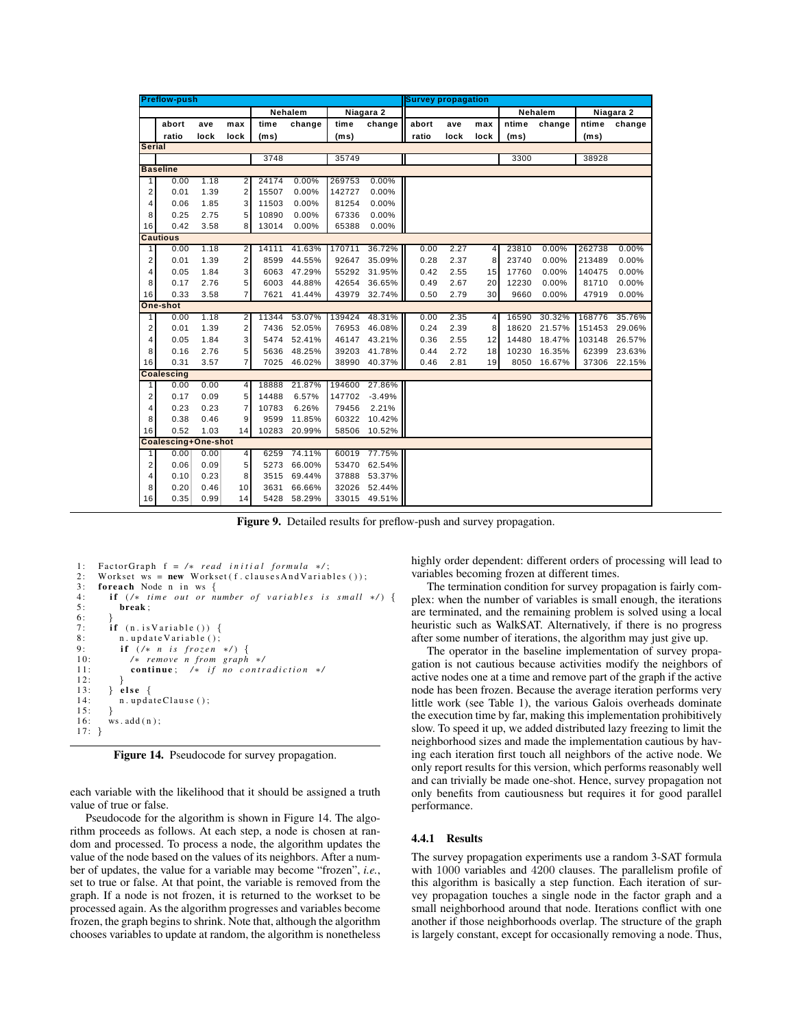| <b>Preflow-push</b> |                   |      |                |       |         |                   |           | <b>Survey propagation</b> |      |                 |         |        |        |           |  |
|---------------------|-------------------|------|----------------|-------|---------|-------------------|-----------|---------------------------|------|-----------------|---------|--------|--------|-----------|--|
|                     |                   |      |                |       | Nehalem |                   | Niagara 2 |                           |      |                 | Nehalem |        |        | Niagara 2 |  |
|                     | abort             | ave  | max            | time  | change  | time              | change    | abort                     | ave  | max             | ntime   | change | ntime  | change    |  |
|                     | ratio             | lock | lock           | (m s) |         | (m <sub>s</sub> ) |           | ratio                     | lock | lock            | (m s)   |        | (m s)  |           |  |
| <b>Serial</b>       |                   |      |                |       |         |                   |           |                           |      |                 |         |        |        |           |  |
|                     |                   |      |                | 3748  |         | 35749             |           |                           |      |                 | 3300    |        | 38928  |           |  |
| <b>Baseline</b>     |                   |      |                |       |         |                   |           |                           |      |                 |         |        |        |           |  |
| 1                   | 0.00              | 1.18 | 2              | 24174 | 0.00%   | 269753            | 0.00%     |                           |      |                 |         |        |        |           |  |
| 2                   | 0.01              | 1.39 | 2              | 15507 | 0.00%   | 142727            | 0.00%     |                           |      |                 |         |        |        |           |  |
| 4                   | 0.06              | 1.85 | 3              | 11503 | 0.00%   | 81254             | 0.00%     |                           |      |                 |         |        |        |           |  |
| 8                   | 0.25              | 2.75 | 5              | 10890 | 0.00%   | 67336             | 0.00%     |                           |      |                 |         |        |        |           |  |
| 16                  | 0.42              | 3.58 | 8              | 13014 | 0.00%   | 65388             | 0.00%     |                           |      |                 |         |        |        |           |  |
|                     | <b>Cautious</b>   |      |                |       |         |                   |           |                           |      |                 |         |        |        |           |  |
| $\mathbf{1}$        | 0.00              | 1.18 | 2              | 14111 | 41.63%  | 170711            | 36.72%    | 0.00                      | 2.27 | 4               | 23810   | 0.00%  | 262738 | $0.00\%$  |  |
| $\overline{2}$      | 0.01              | 1.39 | $\overline{c}$ | 8599  | 44.55%  | 92647             | 35.09%    | 0.28                      | 2.37 | 8               | 23740   | 0.00%  | 213489 | 0.00%     |  |
| 4                   | 0.05              | 1.84 | $\overline{3}$ | 6063  | 47.29%  | 55292             | 31.95%    | 0.42                      | 2.55 | 15              | 17760   | 0.00%  | 140475 | 0.00%     |  |
| 8                   | 0.17              | 2.76 | 5 <sup>1</sup> | 6003  | 44.88%  | 42654             | 36.65%    | 0.49                      | 2.67 | 20              | 12230   | 0.00%  | 81710  | 0.00%     |  |
| 16                  | 0.33              | 3.58 | $\overline{7}$ | 7621  | 41.44%  | 43979             | 32.74%    | 0.50                      | 2.79 | 30 <sup>1</sup> | 9660    | 0.00%  | 47919  | 0.00%     |  |
|                     | One-shot          |      |                |       |         |                   |           |                           |      |                 |         |        |        |           |  |
| 1                   | 0.00              | 1.18 | $\overline{2}$ | 11344 | 53.07%  | 139424            | 48.31%    | 0.00                      | 2.35 | $\vert$         | 16590   | 30.32% | 168776 | 35.76%    |  |
| $\mathbf{2}$        | 0.01              | 1.39 | $\overline{2}$ | 7436  | 52.05%  | 76953             | 46.08%    | 0.24                      | 2.39 | 8               | 18620   | 21.57% | 151453 | 29.06%    |  |
| $\overline{4}$      | 0.05              | 1.84 | $\frac{3}{2}$  | 5474  | 52.41%  | 46147             | 43.21%    | 0.36                      | 2.55 | 12              | 14480   | 18.47% | 103148 | 26.57%    |  |
| 8                   | 0.16              | 2.76 | 5 <sup>1</sup> | 5636  | 48.25%  | 39203             | 41.78%    | 0.44                      | 2.72 | 18              | 10230   | 16.35% | 62399  | 23.63%    |  |
| 16                  | 0.31              | 3.57 | $\overline{7}$ | 7025  | 46.02%  | 38990             | 40.37%    | 0.46                      | 2.81 | 19              | 8050    | 16.67% | 37306  | 22.15%    |  |
|                     | <b>Coalescing</b> |      |                |       |         |                   |           |                           |      |                 |         |        |        |           |  |
| 1                   | 0.00              | 0.00 | $\vert$        | 18888 | 21.87%  | 194600            | 27.86%    |                           |      |                 |         |        |        |           |  |
| $\overline{c}$      | 0.17              | 0.09 | 5              | 14488 | 6.57%   | 147702            | $-3.49%$  |                           |      |                 |         |        |        |           |  |
| 4                   | 0.23              | 0.23 | $\overline{7}$ | 10783 | 6.26%   | 79456             | 2.21%     |                           |      |                 |         |        |        |           |  |
| 8                   | 0.38              | 0.46 | 9              | 9599  | 11.85%  | 60322             | 10.42%    |                           |      |                 |         |        |        |           |  |
| 16                  | 0.52              | 1.03 | 14             | 10283 | 20.99%  | 58506             | 10.52%    |                           |      |                 |         |        |        |           |  |
| Coalescing+One-shot |                   |      |                |       |         |                   |           |                           |      |                 |         |        |        |           |  |
| 1                   | 0.00              | 0.00 | $\overline{4}$ | 6259  | 74.11%  | 60019             | 77.75%    |                           |      |                 |         |        |        |           |  |
| 2                   | 0.06              | 0.09 | 5 <sup>1</sup> | 5273  | 66.00%  | 53470             | 62.54%    |                           |      |                 |         |        |        |           |  |
| 4                   | 0.10              | 0.23 | 8 <sup>1</sup> | 3515  | 69.44%  | 37888             | 53.37%    |                           |      |                 |         |        |        |           |  |
| 8                   | 0.20              | 0.46 | 10             | 3631  | 66.66%  | 32026             | 52.44%    |                           |      |                 |         |        |        |           |  |
| 16                  | 0.35              | 0.99 | 14             | 5428  | 58.29%  | 33015             | 49.51%    |                           |      |                 |         |        |        |           |  |

Figure 9. Detailed results for preflow-push and survey propagation.

```
1: FactorGraph f = /* read initial formula */;
2: Workset ws = new Workset (f. clauses And Variables ();<br>3: foreach Node n in ws \{3: foreach Node n in ws {<br>4. if (\frac{*}{\sqrt{2}} \times \frac{time}{one} out or m)\textbf{if } (\textit{/* time out or number of variables is small */})5: break;
6:7: \textbf{if} \text{ } (\text{n. is Variable } () ) {<br>8: \text{n. updateVariable } ():
             n. update Variable ();
9: if (\frac{1}{\sqrt{2}} n \text{ is } \frac{1}{\sqrt{2}} n \times 1) {
10: /* remove n from graph */<br>11: continue; /* if no contradiction */
\frac{12}{13}:
          \} else {
14: n. updateClause ();
15:16: ws.add(n);
17: \}
```
Figure 14. Pseudocode for survey propagation.

each variable with the likelihood that it should be assigned a truth value of true or false.

Pseudocode for the algorithm is shown in Figure 14. The algorithm proceeds as follows. At each step, a node is chosen at random and processed. To process a node, the algorithm updates the value of the node based on the values of its neighbors. After a number of updates, the value for a variable may become "frozen", *i.e.*, set to true or false. At that point, the variable is removed from the graph. If a node is not frozen, it is returned to the workset to be processed again. As the algorithm progresses and variables become frozen, the graph begins to shrink. Note that, although the algorithm chooses variables to update at random, the algorithm is nonetheless highly order dependent: different orders of processing will lead to variables becoming frozen at different times.

The termination condition for survey propagation is fairly complex: when the number of variables is small enough, the iterations are terminated, and the remaining problem is solved using a local heuristic such as WalkSAT. Alternatively, if there is no progress after some number of iterations, the algorithm may just give up.

The operator in the baseline implementation of survey propagation is not cautious because activities modify the neighbors of active nodes one at a time and remove part of the graph if the active node has been frozen. Because the average iteration performs very little work (see Table 1), the various Galois overheads dominate the execution time by far, making this implementation prohibitively slow. To speed it up, we added distributed lazy freezing to limit the neighborhood sizes and made the implementation cautious by having each iteration first touch all neighbors of the active node. We only report results for this version, which performs reasonably well and can trivially be made one-shot. Hence, survey propagation not only benefits from cautiousness but requires it for good parallel performance.

## 4.4.1 Results

The survey propagation experiments use a random 3-SAT formula with 1000 variables and 4200 clauses. The parallelism profile of this algorithm is basically a step function. Each iteration of survey propagation touches a single node in the factor graph and a small neighborhood around that node. Iterations conflict with one another if those neighborhoods overlap. The structure of the graph is largely constant, except for occasionally removing a node. Thus,